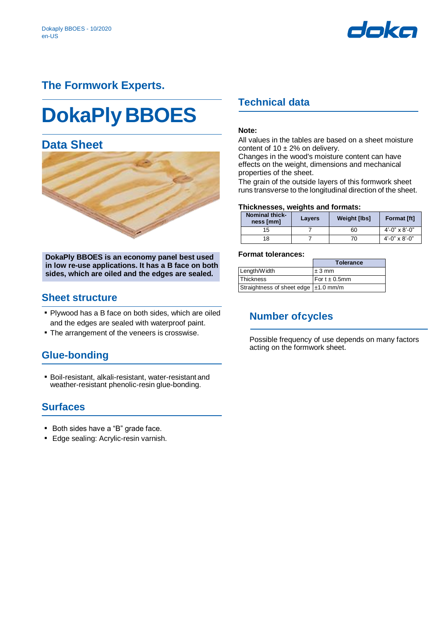

# **The Formwork Experts.**

# **DokaPly BBOES**

# **Data Sheet**



**DokaPly BBOES is an economy panel best used in low re-use applications. It has a B face on both sides, which are oiled and the edges are sealed.** 

### **Sheet structure**

- Plywood has a B face on both sides, which are oiled and the edges are sealed with waterproof paint.
- **The arrangement of the veneers is crosswise.**

## **Glue-bonding**

▪ Boil-resistant, alkali-resistant, water-resistant and weather-resistant phenolic-resin glue-bonding.

## **Surfaces**

- Both sides have a "B" grade face.
- **Edge sealing: Acrylic-resin varnish.**

## **Technical data**

#### **Note:**

All values in the tables are based on a sheet moisture content of  $10 \pm 2\%$  on delivery.

Changes in the wood's moisture content can have effects on the weight, dimensions and mechanical properties of the sheet.

The grain of the outside layers of this formwork sheet runs transverse to the longitudinal direction of the sheet.

#### **Thicknesses, weights and formats:**

| <b>Nominal thick-</b><br>ness [mm] | <b>Layers</b> | Weight [lbs] | <b>Format [ft]</b> |
|------------------------------------|---------------|--------------|--------------------|
| 15                                 |               | 60           | $4'$ -0" x 8'-0"   |
| 18                                 |               | 70           | $4'$ -0" x 8'-0"   |

#### **Format tolerances:**

|                                        | <b>Tolerance</b>   |
|----------------------------------------|--------------------|
| Length/Width                           | $±3$ mm            |
| <b>Thickness</b>                       | For $t \pm 0.5$ mm |
| Straightness of sheet edge   ±1.0 mm/m |                    |

## **Number ofcycles**

Possible frequency of use depends on many factors acting on the formwork sheet.